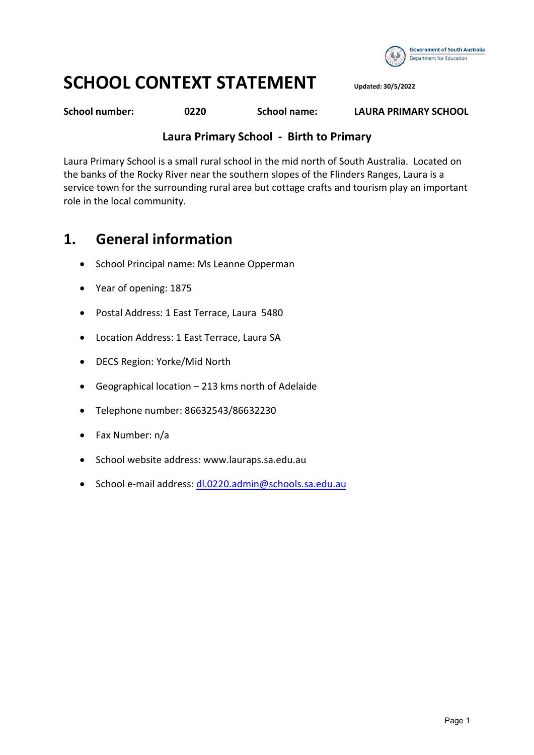

# SCHOOL CONTEXT STATEMENT Updated: 30/5/2022

School number: 0220 School name: LAURA PRIMARY SCHOOL

#### Laura Primary School - Birth to Primary

Laura Primary School is a small rural school in the mid north of South Australia. Located on the banks of the Rocky River near the southern slopes of the Flinders Ranges, Laura is a service town for the surrounding rural area but cottage crafts and tourism play an important role in the local community.

#### 1. General information

- School Principal name: Ms Leanne Opperman
- Year of opening: 1875
- Postal Address: 1 East Terrace, Laura 5480
- Location Address: 1 East Terrace, Laura SA
- DECS Region: Yorke/Mid North
- Geographical location 213 kms north of Adelaide
- Telephone number: 86632543/86632230
- Fax Number: n/a
- School website address: www.lauraps.sa.edu.au
- · School e-mail address: dl.0220.admin@schools.sa.edu.au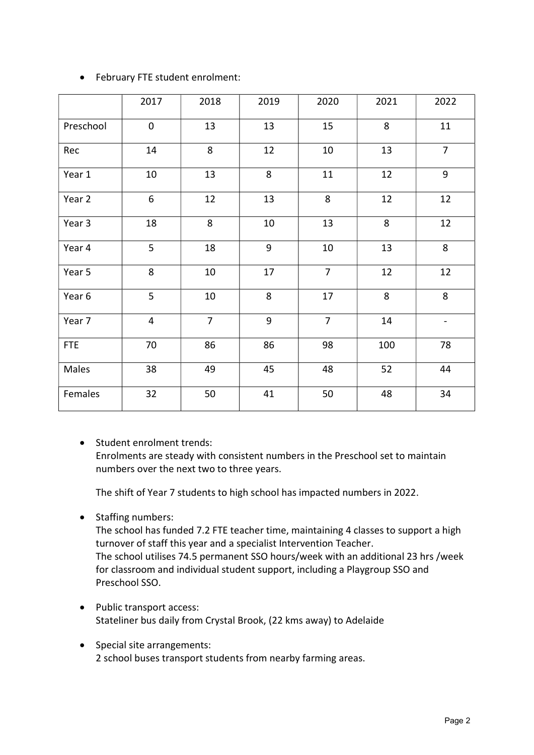|            | 2017           | 2018           | 2019   | 2020           | 2021 | 2022           |
|------------|----------------|----------------|--------|----------------|------|----------------|
| Preschool  | $\mathbf 0$    | 13             | 13     | 15             | 8    | 11             |
| Rec        | 14             | 8              | 12     | 10             | 13   | $\overline{7}$ |
| Year 1     | 10             | 13             | 8      | 11             | 12   | 9              |
| Year 2     | 6              | 12             | 13     | 8              | 12   | 12             |
| Year 3     | 18             | 8              | $10\,$ | 13             | 8    | 12             |
| Year 4     | 5              | 18             | 9      | 10             | 13   | 8              |
| Year 5     | 8              | 10             | 17     | $\overline{7}$ | 12   | 12             |
| Year 6     | 5              | 10             | 8      | 17             | 8    | 8              |
| Year 7     | $\overline{4}$ | $\overline{7}$ | 9      | $\overline{7}$ | 14   |                |
| <b>FTE</b> | 70             | 86             | 86     | 98             | 100  | 78             |
| Males      | 38             | 49             | 45     | 48             | 52   | 44             |
| Females    | 32             | 50             | 41     | 50             | 48   | 34             |

#### February FTE student enrolment:

• Student enrolment trends: Enrolments are steady with consistent numbers in the Preschool set to maintain numbers over the next two to three years.

The shift of Year 7 students to high school has impacted numbers in 2022.

• Staffing numbers:

The school has funded 7.2 FTE teacher time, maintaining 4 classes to support a high turnover of staff this year and a specialist Intervention Teacher. The school utilises 74.5 permanent SSO hours/week with an additional 23 hrs /week for classroom and individual student support, including a Playgroup SSO and Preschool SSO.

- Public transport access: Stateliner bus daily from Crystal Brook, (22 kms away) to Adelaide
- Special site arrangements: 2 school buses transport students from nearby farming areas.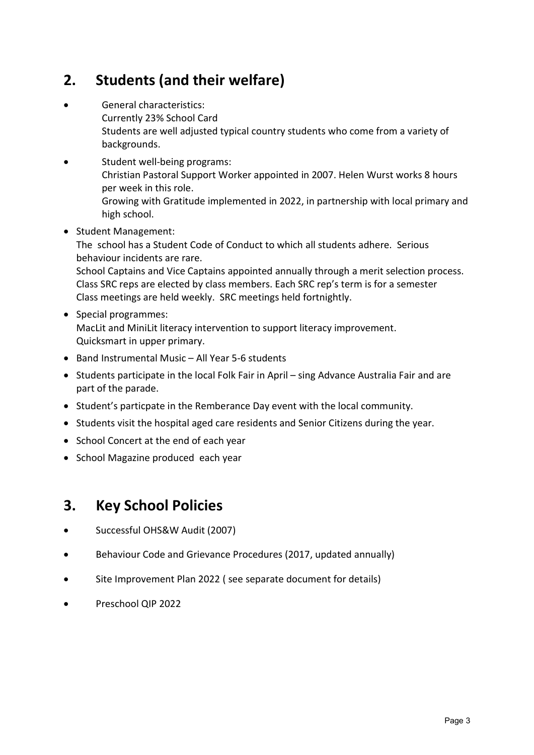## 2. Students (and their welfare)

- General characteristics: Currently 23% School Card Students are well adjusted typical country students who come from a variety of backgrounds.
- Student well-being programs: Christian Pastoral Support Worker appointed in 2007. Helen Wurst works 8 hours per week in this role. Growing with Gratitude implemented in 2022, in partnership with local primary and high school.
- Student Management:

The school has a Student Code of Conduct to which all students adhere. Serious behaviour incidents are rare.

School Captains and Vice Captains appointed annually through a merit selection process. Class SRC reps are elected by class members. Each SRC rep's term is for a semester Class meetings are held weekly. SRC meetings held fortnightly.

- Special programmes: MacLit and MiniLit literacy intervention to support literacy improvement. Quicksmart in upper primary.
- Band Instrumental Music All Year 5-6 students
- Students participate in the local Folk Fair in April sing Advance Australia Fair and are part of the parade.
- Student's particpate in the Remberance Day event with the local community.
- Students visit the hospital aged care residents and Senior Citizens during the year.
- School Concert at the end of each year
- School Magazine produced each year

#### 3. Key School Policies

- Successful OHS&W Audit (2007)
- Behaviour Code and Grievance Procedures (2017, updated annually)
- Site Improvement Plan 2022 ( see separate document for details)
- Preschool QIP 2022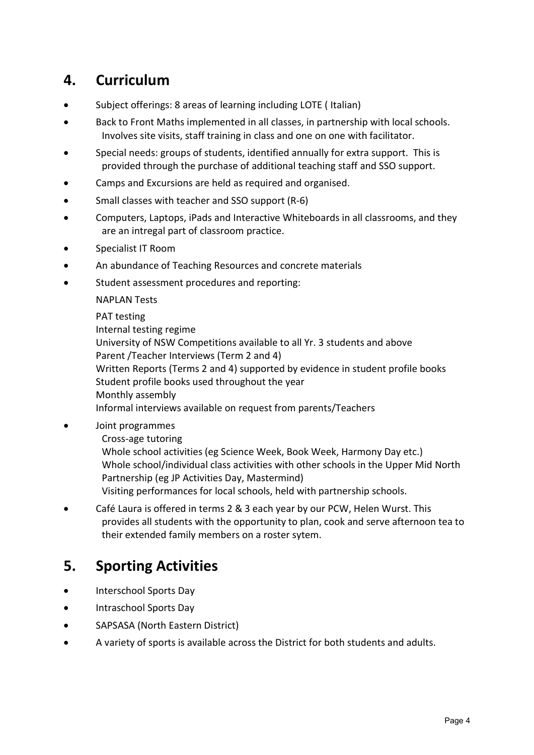#### 4. Curriculum

- Subject offerings: 8 areas of learning including LOTE ( Italian)
- Back to Front Maths implemented in all classes, in partnership with local schools. Involves site visits, staff training in class and one on one with facilitator.
- Special needs: groups of students, identified annually for extra support. This is provided through the purchase of additional teaching staff and SSO support.
- Camps and Excursions are held as required and organised.
- Small classes with teacher and SSO support (R-6)
- Computers, Laptops, iPads and Interactive Whiteboards in all classrooms, and they are an intregal part of classroom practice.
- Specialist IT Room
- An abundance of Teaching Resources and concrete materials
- Student assessment procedures and reporting:

NAPLAN Tests

PAT testing Internal testing regime University of NSW Competitions available to all Yr. 3 students and above Parent /Teacher Interviews (Term 2 and 4) Written Reports (Terms 2 and 4) supported by evidence in student profile books Student profile books used throughout the year Monthly assembly Informal interviews available on request from parents/Teachers

Joint programmes

Cross-age tutoring

Whole school activities (eg Science Week, Book Week, Harmony Day etc.) Whole school/individual class activities with other schools in the Upper Mid North Partnership (eg JP Activities Day, Mastermind)

- Visiting performances for local schools, held with partnership schools.
- Café Laura is offered in terms 2 & 3 each year by our PCW, Helen Wurst. This provides all students with the opportunity to plan, cook and serve afternoon tea to their extended family members on a roster sytem.

#### 5. Sporting Activities

- Interschool Sports Day
- **•** Intraschool Sports Day
- SAPSASA (North Eastern District)
- A variety of sports is available across the District for both students and adults.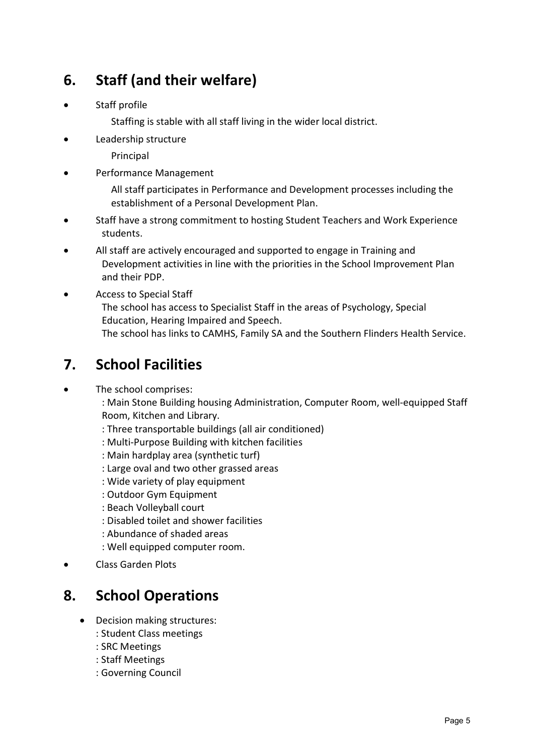# 6. Staff (and their welfare)

Staff profile

Staffing is stable with all staff living in the wider local district.

- Leadership structure
	- Principal
- Performance Management

All staff participates in Performance and Development processes including the establishment of a Personal Development Plan.

- Staff have a strong commitment to hosting Student Teachers and Work Experience students.
- All staff are actively encouraged and supported to engage in Training and Development activities in line with the priorities in the School Improvement Plan and their PDP.
- Access to Special Staff The school has access to Specialist Staff in the areas of Psychology, Special Education, Hearing Impaired and Speech. The school has links to CAMHS, Family SA and the Southern Flinders Health Service.

### 7. School Facilities

The school comprises:

: Main Stone Building housing Administration, Computer Room, well-equipped Staff Room, Kitchen and Library.

- : Three transportable buildings (all air conditioned)
- : Multi-Purpose Building with kitchen facilities
- : Main hardplay area (synthetic turf)
- : Large oval and two other grassed areas
- : Wide variety of play equipment
- : Outdoor Gym Equipment
- : Beach Volleyball court
- : Disabled toilet and shower facilities
- : Abundance of shaded areas
- : Well equipped computer room.
- Class Garden Plots

### 8. School Operations

- Decision making structures:
	- : Student Class meetings
	- : SRC Meetings
	- : Staff Meetings
	- : Governing Council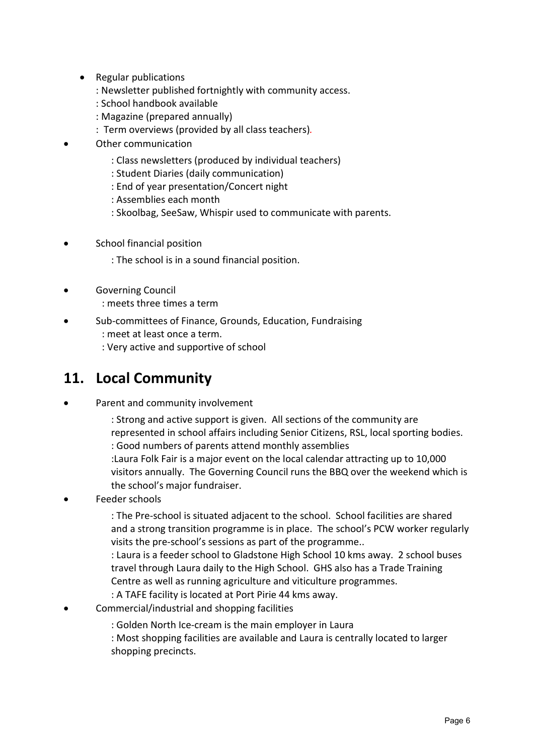- Regular publications
	- : Newsletter published fortnightly with community access.
	- : School handbook available
	- : Magazine (prepared annually)
	- : Term overviews (provided by all class teachers).
- Other communication
	- : Class newsletters (produced by individual teachers)
	- : Student Diaries (daily communication)
	- : End of year presentation/Concert night
	- : Assemblies each month
	- : Skoolbag, SeeSaw, Whispir used to communicate with parents.
- **•** School financial position
	- : The school is in a sound financial position.
- Governing Council
	- : meets three times a term
- Sub-committees of Finance, Grounds, Education, Fundraising
	- : meet at least once a term.
	- : Very active and supportive of school

## 11. Local Community

- Parent and community involvement
	- : Strong and active support is given. All sections of the community are represented in school affairs including Senior Citizens, RSL, local sporting bodies. : Good numbers of parents attend monthly assemblies
	- :Laura Folk Fair is a major event on the local calendar attracting up to 10,000 visitors annually. The Governing Council runs the BBQ over the weekend which is the school's major fundraiser.
- Feeder schools

: The Pre-school is situated adjacent to the school. School facilities are shared and a strong transition programme is in place. The school's PCW worker regularly visits the pre-school's sessions as part of the programme..

: Laura is a feeder school to Gladstone High School 10 kms away. 2 school buses travel through Laura daily to the High School. GHS also has a Trade Training Centre as well as running agriculture and viticulture programmes. : A TAFE facility is located at Port Pirie 44 kms away.

- Commercial/industrial and shopping facilities
	- : Golden North Ice-cream is the main employer in Laura

: Most shopping facilities are available and Laura is centrally located to larger shopping precincts.